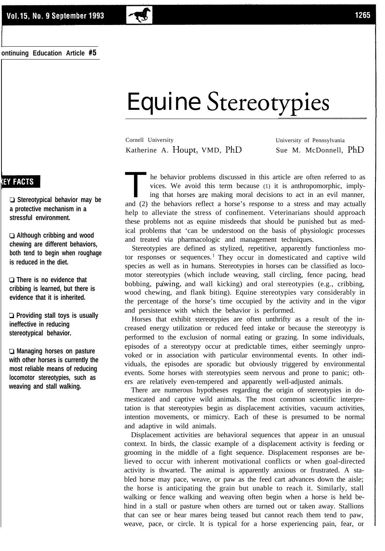# Equine n . 3tereotvpies

Cornell University University of Pennsylvania Katherine A. Houpt, VMD, PhD Sue M. McDonnell, PhD

The behavior problems discussed in this article are often referred to as vices. We avoid this term because (1) it is anthropomorphic, implying that horses are making moral decisions to act in an evil manner, and (2) the be he behavior problems discussed in this article are often referred to as vices. We avoid this term because (1) it is anthropomorphic, implying that horses are making moral decisions to act in an evil manner, help to alleviate the stress of confinement. Veterinarians should approach these problems not as equine misdeeds that should be punished but as medical problems that 'can be understood on the basis of physiologic processes and treated via pharmacologic and management techniques.

Stereotypies are defined as stylized, repetitive, apparently functionless motor responses or sequences.<sup>1</sup> They occur in domesticated and captive wild species as well as in humans. Stereotypies in horses can be classified as locomotor stereotypies (which include weaving, stall circling, fence pacing, head bobbing, pawing, and wall kicking) and oral stereotypies (e.g., cribbing, wood chewing, and flank biting). Equine stereotypies vary considerably in the percentage of the horse's time occupied by the activity and in the vigor and persistence with which the behavior is performed.

Horses that exhibit stereotypies are often unthrifty as a result of the increased energy utilization or reduced feed intake or because the stereotypy is performed to the exclusion of normal eating or grazing. In some individuals, episodes of a stereotypy occur at predictable times, either seemingly unprovoked or in association with particular environmental events. In other individuals, the episodes are sporadic but obviously triggered by environmental events. Some horses with stereotypies seem nervous and prone to panic; others are relatively even-tempered and apparently well-adjusted animals.

There are numerous hypotheses regarding the origin of stereotypies in domesticated and captive wild animals. The most common scientific interpretation is that stereotypies begin as displacement activities, vacuum activities, intention movements, or mimicry. Each of these is presumed to be normal and adaptive in wild animals.

Displacement activities are behavioral sequences that appear in an unusual context. In birds, the classic example of a displacement activity is feeding or grooming in the middle of a fight sequence. Displacement responses are believed to occur with inherent motivational conflicts or when goal-directed activity is thwarted. The animal is apparently anxious or frustrated. A stabled horse may pace, weave, or paw as the feed cart advances down the aisle; the horse is anticipating the grain but unable to reach it. Similarly, stall walking or fence walking and weaving often begin when a horse is held behind in a stall or pasture when others are turned out or taken away. Stallions that can see or hear mares being teased but cannot reach them tend to paw, weave, pace, or circle. It is typical for a horse experiencing pain, fear, or

# **EY FACTS**

**I**

**U Stereotypical behavior may be a protective mechanism in a stressful environment.**

**Ll Although cribbing and wood chewing are different behaviors, both tend to begin when roughage is reduced in the diet.**

**0 There is no evidence that cribbing is learned, but there is evidence that it is inherited.**

**U Providing stall toys is usually ineffective in reducing stereotypical behavior.**

**Ll Managing horses on pasture with other horses is currently the most reliable means of reducing locomotor stereotypies, such as weaving and stall walking.**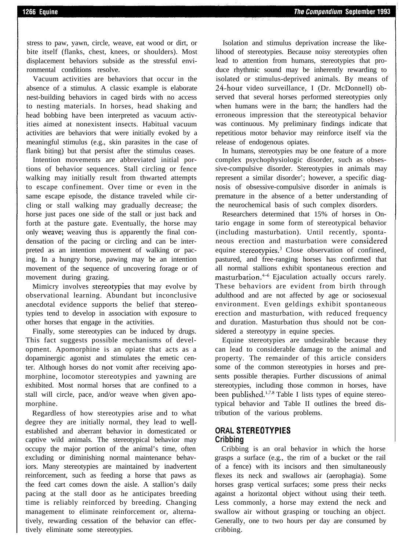stress to paw, yawn, circle, weave, eat wood or dirt, or bite itself (flanks, chest, knees, or shoulders). Most displacement behaviors subside as the stressful environmental conditions resolve.

Vacuum activities are behaviors that occur in the absence of a stimulus. A classic example is elaborate nest-building behaviors in caged birds with no access to nesting materials. In horses, head shaking and head bobbing have been interpreted as vacuum activities aimed at nonexistent insects. Habitual vacuum activities are behaviors that were initially evoked by a meaningful stimulus (e.g., skin parasites in the case of flank biting) but that persist after the stimulus ceases.

Intention movements are abbreviated initial portions of behavior sequences. Stall circling or fence walking may initially result from thwarted attempts to escape confinement. Over time or even in the same escape episode, the distance traveled while circling or stall walking may gradually decrease; the horse just paces one side of the stall or just back and forth at the pasture gate. Eventually, the horse may only weave; weaving thus is apparently the final condensation of the pacing or circling and can be interpreted as an intention movement of walking or pacing. In a hungry horse, pawing may be an intention movement of the sequence of uncovering forage or of movement during grazing.

Mimicry involves stereotypies that may evolve by observational learning. Abundant but inconclusive anecdotal evidence supports the belief that stereotypies tend to develop in association with exposure to other horses that engage in the activities.

Finally, some stereotypies can be induced by drugs. This fact suggests possible mechanisms of development. Apomorphine is an opiate that acts as a dopaminergic agonist and stimulates the emetic center. Although horses do qot vomit after receiving apomorphine, locomotor stereotypies and yawning are exhibited. Most normal horses that are confined to a stall will circle, pace, and/or weave when given apomorphine.

Regardless of how stereotypies arise and to what degree they are initially normal, they lead to wellestablished and aberrant behavior in domesticated or captive wild animals. The stereotypical behavior may occupy the major portion of the animal's time, often excluding or diminishing normal maintenance behaviors. Many stereotypies are maintained by inadvertent reinforcement, such as feeding a horse that paws as the feed cart comes down the aisle. A stallion's daily pacing at the stall door as he anticipates breeding time is reliably reinforced by breeding. Changing management to eliminate reinforcement or, alternatively, rewarding cessation of the behavior can effectively eliminate some stereotypies.

Isolation and stimulus deprivation increase the likelihood of stereotypies. Because noisy stereotypies often lead to attention from humans, stereotypies that produce rhythmic sound may be inherently rewarding to isolated or stimulus-deprived animals. By means of 24-hour video surveillance, I (Dr. McDonnell) observed that several horses performed stereotypies only when humans were in the barn; the handlers had the erroneous impression that the stereotypical behavior was continuous. My preliminary findings indicate that repetitious motor behavior may reinforce itself via the release of endogenous opiates.

In humans, stereotypies may be one feature of a more complex psychophysiologic disorder, such as obsessive-compulsive disorder. Stereotypies in animals may represent a similar disorder'; however, a specific diagnosis of obsessive-compulsive disorder in animals is premature in the absence of a better understanding of the neurochemical basis of such complex disorders.

Researchers determined that 15% of horses in Ontario engage in some form of stereotypical behavior (including masturbation). Until recently, spontaneous erection and masturbation were consi'dered equine stereotypies. $3$  Close observation of confined, pastured, and free-ranging horses has confirmed that all normal stallions exhibit spontaneous erection and masturbation.<sup>4-6</sup> Ejaculation actually occurs rarely. These behaviors are evident from birth through adulthood and are not affected by age or sociosexual environment. Even geldings exhibit spontaneous erection and masturbation, with reduced frequency and duration. Masturbation thus should not be considered a stereotypy in equine species.

Equine stereotypies are undesirable because they can lead to considerable damage to the animal and property. The remainder of this article considers some of the common stereotypies in horses and presents possible therapies. Further discussions of animal stereotypies, including those common in horses, have been published. $^{1,7,8}$  Table I lists types of equine stereotypical behavior and Table II outlines the breed distribution of the various problems.

## **ORAL STEREOTYPIES Cribbing**

Cribbing is an oral behavior in which the horse grasps a surface (e.g., the rim of a bucket or the rail of a fence) with its incisors and then simultaneously flexes its neck and swallows air (aerophagia). Some horses grasp vertical surfaces; some press their necks against a horizontal object without using their teeth. Less commonly, a horse may extend the neck and swallow air without grasping or touching an object. Generally, one to two hours per day are consumed by cribbing.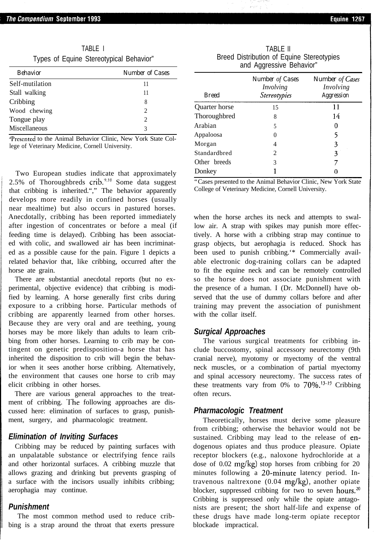| TABLE I |  |  |                                         |  |  |
|---------|--|--|-----------------------------------------|--|--|
|         |  |  | Types of Equine Stereotypical Behavior" |  |  |

| <b>Behavior</b> | <b>Number of Cases</b> |
|-----------------|------------------------|
| Self-mutilation | 11                     |
| Stall walking   | 11                     |
| Cribbing        | 8                      |
| Wood chewing    | $\mathcal{D}$          |
| Tongue play     | 2                      |
| Miscellaneous   |                        |

,'Presented to the Animal Behavior Clinic, New York State College of Veterinary Medicine, Cornell University.

Two European studies indicate that approximately 2.5% of Thoroughbreds crib. $9,10$  Some data suggest that cribbing is inherited."," The behavior apparently develops more readily in confined horses (usually near mealtime) but also occurs in pastured horses. Anecdotally, cribbing has been reported immediately after ingestion of concentrates or before a meal (if feeding time is delayed). Cribbing has been associated with colic, and swallowed air has been incriminated as a possible cause for the pain. Figure 1 depicts a related behavior that, like cribbing, occurred after the horse ate grain.

There are substantial anecdotal reports (but no experimental, objective evidence) that cribbing is modified by learning. A horse generally first cribs during exposure to a cribbing horse. Particular methods of cribbing are apparently learned from other horses. Because they are very oral and are teething, young horses may be more likely than adults to learn cribbing from other horses. Learning to crib may be contingent on genetic predisposition-a horse that has inherited the disposition to crib will begin the behavior when it sees another horse cribbing. Alternatively, the environment that causes one horse to crib may elicit cribbing in other horses.

There are various general approaches to the treatment of cribbing. The following approaches are discussed here: elimination of surfaces to grasp, punishment, surgery, and pharmacologic treatment.

### *Elimination of Inviting Surfaces*

Cribbing may be reduced by painting surfaces with an unpalatable substance or electrifying fence rails and other horizontal surfaces. A cribbing muzzle that allows grazing and drinking but prevents grasping of a surface with the incisors usually inhibits cribbing; aerophagia may continue.

## *Punishment*

The most common method used to reduce cribbing is a strap around the throat that exerts pressure

|                          | TABI F II                                 |  |  |  |
|--------------------------|-------------------------------------------|--|--|--|
|                          | Breed Distribution of Equine Stereotypies |  |  |  |
| and Aggressive Behavior" |                                           |  |  |  |

| <b>Breed</b>  | Number of Cases<br>Involving<br>Stereotypies | Number of Cases<br>Involving<br>Aggression |
|---------------|----------------------------------------------|--------------------------------------------|
| Quarter horse | 15                                           | 11                                         |
| Thoroughbred  | 8                                            | 14                                         |
| Arabian       | 5                                            | 0                                          |
| Appaloosa     | $\theta$                                     | 5                                          |
| Morgan        | 4                                            | 3                                          |
| Standardbred  | $\mathcal{D}_{\mathcal{L}}$                  | 3                                          |
| Other breeds  | 3                                            |                                            |
| Donkey        |                                              |                                            |

"Cases presented to the Animal Behavior Clinic, New York State College of Veterinary Medicine, Cornell University.

when the horse arches its neck and attempts to swallow air. A strap with spikes may punish more effectively. A horse with a cribbing strap may continue to grasp objects, but aerophagia is reduced. Shock has been used to punish cribbing.'\* Commercially available electronic dog-training collars can be adapted to fit the equine neck and can be remotely controlled so the horse does not associate punishment with the presence of a human. I (Dr. McDonnell) have observed that the use of dummy collars before and after training may prevent the association of punishment with the collar itself.

#### *Surgical Approaches*

The various surgical treatments for cribbing include buccostomy, spinal accessory neurectomy (9th cranial nerve), myotomy or myectomy of the ventral neck muscles, or a combination of partial myectomy and spinal accessory neurectomy. The success rates of these treatments vary from  $0\%$  to  $70\%$ .<sup>13-19</sup> Cribbing often recurs.

#### *Pharmacologic Treatment*

Theoretically, horses must derive some pleasure from cribbing; otherwise the behavior would not be sustained. Cribbing may lead to the release of endogenous opiates and thus produce pleasure. Opiate receptor blockers (e.g., naloxone hydrochloride at a dose of 0.02 mg/kg) stop horses from cribbing for 20 minutes following a 20-minute latency period. Intravenous naltrexone  $(0.04 \text{ mg/kg})$ , another opiate blocker, suppressed cribbing for two to seven hours.<sup>20</sup> Cribbing is suppressed only while the opiate antagonists are present; the short half-life and expense of these drugs have made long-term opiate receptor blockade impractical.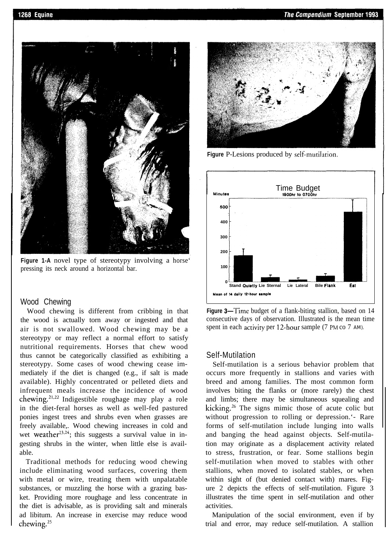

**Figure 1-A** novel type of stereotypy involving a horse' pressing its neck around a horizontal bar.

### Wood Chewing

Wood chewing is different from cribbing in that the wood is actually torn away or ingested and that air is not swallowed. Wood chewing may be a stereotypy or may reflect a normal effort to satisfy nutritional requirements. Horses that chew wood thus cannot be categorically classified as exhibiting a stereotypy. Some cases of wood chewing cease immediately if the diet is changed (e.g., if salt is made available). Highly concentrated or pelleted diets and infrequent meals increase the incidence of wood chewing.<sup>21,22</sup> Indigestible roughage may play a role in the diet-feral horses as well as well-fed pastured ponies ingest trees and shrubs even when grasses are freely available,. Wood chewing increases in cold and wet weather<sup>23,24</sup>; this suggests a survival value in ingesting shrubs in the winter, when little else is available.

Traditional methods for reducing wood chewing include eliminating wood surfaces, covering them with metal or wire, treating them with unpalatable substances, or muzzling the horse with a grazing basket. Providing more roughage and less concentrate in the diet is advisable, as is providing salt and minerals ad libitum. An increase in exercise may reduce wood chewing.<sup>25</sup>



**Figure** P-Lesions produced by self-mutilarion.



Figure 3—Time budget of a flank-biting stallion, based on 14 consecutive days of observation. Illustrated is the mean time spent in each activity per 12-hour sample (7 PM co 7 AM).

## Self-Mutilation

Self-mutilation is a serious behavior problem that occurs more frequently in stallions and varies with breed and among families. The most common form involves biting the flanks or (more rarely) the chest and limbs; there may be simultaneous squealing and kicking.<sup>26</sup> The signs mimic those of acute colic but without progression to rolling or depression.'- Rare forms of self-mutilation include lunging into walls and banging the head against objects. Self-mutilation may originate as a displacement activity related to stress, frustration, or fear. Some stallions begin self-mutilation when moved to stables with other stallions, when moved to isolated stables, or when within sight of (but denied contact with) mares. Figure 2 depicts the effects of self-mutilation. Figure 3 illustrates the time spent in self-mutilation and other activities.

Manipulation of the social environment, even if by trial and error, may reduce self-mutilation. A stallion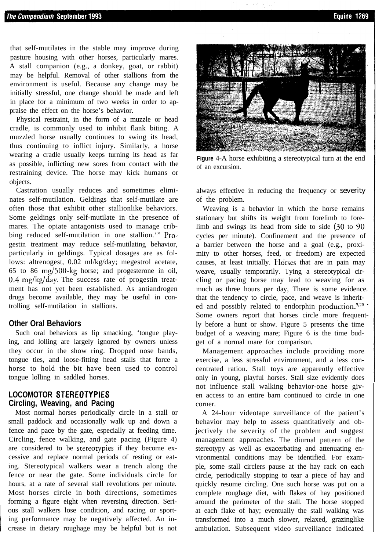that self-mutilates in the stable may improve during pasture housing with other horses, particularly mares. A stall companion (e.g., a donkey, goat, or rabbit) may be helpful. Removal of other stallions from the environment is useful. Because any change may be initially stressful, one change should be made and left in place for a minimum of two weeks in order to appraise the effect on the horse's behavior.

Physical restraint, in the form of a muzzle or head cradle, is commonly used to inhibit flank biting. A muzzled horse usually continues to swing its head, thus continuing to inflict injury. Similarly, a horse wearing a cradle usually keeps turning its head as far as possible, inflicting new sores from contact with the restraining device. The horse may kick humans or objects.

Castration usually reduces and sometimes eliminates self-mutilation. Geldings that self-mutilate are often those that exhibit other stallionlike behaviors. Some geldings only self-mutilate in the presence of mares. The opiate antagonists used to manage cribbing reduced self-mutilation in one stallion.'" Progestin treatment may reduce self-mutilating behavior, particularly in geldings. Typical dosages are as follows: altrenogest, 0.02 ml/kg/day; megestrol acetate, 65 to 86 mg/500-kg horse; and progesterone in oil,  $0.4 \text{ mg/kg/day}$ . The success rate of progestin treatment has not yet been established. As antiandrogen drugs become available, they may be useful in controlling self-mutilation in stallions.

### **Other Oral Behaviors**

Such oral behaviors as lip smacking, 'tongue playing, and lolling are largely ignored by owners unless they occur in the show ring. Dropped nose bands, tongue ties, and loose-fitting head stalls that force a horse to hold the bit have been used to control tongue lolling in saddled horses.

# **LOCOMOTOR STEREOTYPIES Circling, Weaving, and Pacing**

Most normal horses periodically circle in a stall or small paddock and occasionally walk up and down a fence and pace by the gate, especially at feeding time. Circling, fence walking, and gate pacing (Figure 4) are considered to be stereotypies if they become excessive and replace normal periods of resting or eating. Stereotypical walkers wear a trench along the fence or near the gate. Some individuals circle for hours, at a rate of several stall revolutions per minute. Most horses circle in both directions, sometimes forming a figure eight when reversing direction. Serious stall walkers lose condition, and racing or sporting performance may be negatively affected. An increase in dietary roughage may be helpful but is not



**Figure** 4-A horse exhibiting a stereotypical turn at the end of an excursion.

always effective in reducing the frequency or severity of the problem.

Weaving is a behavior in which the horse remains stationary but shifts its weight from forelimb to forelimb and swings its head from side to side (30 to 90 cycles per minute). Confinement and the presence of a barrier between the horse and a goal (e.g., proximity to other horses, feed, or freedom) are expected causes, at least initially. Horses that are in pain may weave, usually temporarily. Tying a stereotypical circling or pacing horse may lead to weaving for as much as three hours per day, There is some evidence. that the tendency to circle, pace, and weave is inherited and possibly related to endorphin production. $2,20$   $\cdot$ Some owners report that horses circle more frequently before a hunt or show. Figure 5 presents the time budget of a weaving mare; Figure 6 is the time budget of a normal mare for comparison.

Management approaches include providing more exercise, a less stressful environment, and a less concentrated ration. Stall toys are apparently effective only in young, playful horses. Stall size evidently does not influence stall walking behavior-one horse given access to an entire barn continued to circle in one corner.

A 24-hour videotape surveillance of the patient's behavior may help to assess quantitatively and objectively the severity of the problem and suggest management approaches. The diurnal pattern of the stereotypy as well as exacerbating and attenuating environmental conditions may be identified. For example, some stall circlers pause at the hay rack on each circle, periodically stopping to tear a piece of hay and quickly resume circling. One such horse was put on a complete roughage diet, with flakes of hay positioned around the perimeter of the stall. The horse stopped at each flake of hay; eventually the stall walking was transformed into a much slower, relaxed, grazinglike ambulation. Subsequent video surveillance indicated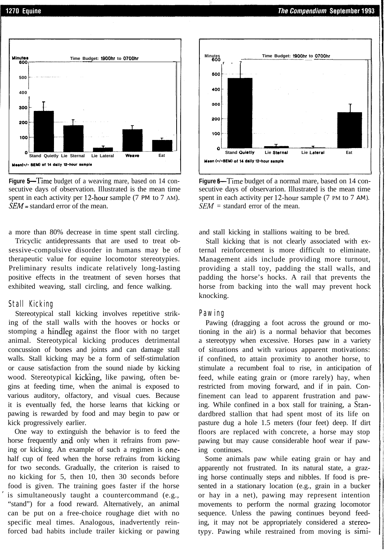

**Figure 5—Time** budget of a weaving mare, based on 14 consecutive days of observation. Illustrated is the mean time spent in each activity per 12-hour sample (7 PM to 7 AM). *SEM=* standard error of the mean.

a more than 80% decrease in time spent stall circling.

Tricyclic antidepressants that are used to treat obsessive-compulsive disorder in humans may be of therapeutic value for equine locomotor stereotypies. Preliminary results indicate relatively long-lasting positive effects in the treatment of seven horses that exhibited weaving, stall circling, and fence walking.

#### Stall Kicking

Stereotypical stall kicking involves repetitive striking of the stall walls with the hooves or hocks or stomping a hindleg against the floor with no target animal. Stereotypical kicking produces detrimental concussion of bones and joints and can damage stall walls. Stall kicking may be a form of self-stimulation or cause satisfaction from the sound niade by kicking wood. Stereotypical kicking, like pawing, often begins at feeding time, when the animal is exposed to various auditory, olfactory, and visual cues. Because it is eventually fed, the horse learns that kicking or pawing is rewarded by food and may begin to paw or kick progressively earlier.

One way to extinguish the behavior is to feed the horse frequently and only when it refrains from pawing or kicking. An example of such a regimen is onehalf cup of feed when the horse refrains from kicking for two seconds. Gradually, the criterion is raised to no kicking for 5, then 10, then 30 seconds before food is given. The training goes faster if the horse is simultaneously taught a countercommand (e.g., "stand") for a food reward. Alternatively, an animal can be put on a free-choice roughage diet with no specific meal times. Analogous, inadvertently reinforced bad habits include trailer kicking or pawing



**Figure 6—Time budget of a normal mare, based on 14 con**secutive days of observarion. Illustrated is the mean time spent in each activity per 12-hour sample (7 PM to 7 AM).  $SEM =$  standard error of the mean.

and stall kicking in stallions waiting to be bred.

Stall kicking that is not clearly associated with external reinforcement is more difficult to eliminate. Management aids include providing more turnout, providing a stall toy, padding the stall walls, and padding the horse's hocks. A rail that prevents the horse from backing into the wall may prevent hock knocking.

#### Pawing

Pawing (dragging a foot across the ground or motioning in the air) is a normal behavior that becomes a stereotypy when excessive. Horses paw in a variety of situations and with various apparent motivations: if confined, to attain proximity to another horse, to stimulate a recumbent foal to rise, in anticipation of feed, while eating grain or (more rarely) hay, when restricted from moving forward, and if in pain. Confinement can lead to apparent frustration and pawing. While confined in a box stall for training, a Standardbred stallion that had spent most of its life on pasture dug a hole 1.5 meters (four feet) deep. If dirt floors are replaced with concrete, a horse may stop pawing but may cause considerable hoof wear if pawing continues.

Some animals paw while eating grain or hay and apparently not frustrated. In its natural state, a grazing horse continually steps and nibbles. If food is presented in a stationary location (e.g., grain in a bucker or hay in a net), pawing may represent intention movements to perform the normal grazing locomotor sequence. Unless the pawing continues beyond feeding, it may not be appropriately considered a stereotypy. Pawing while restrained from moving is simi